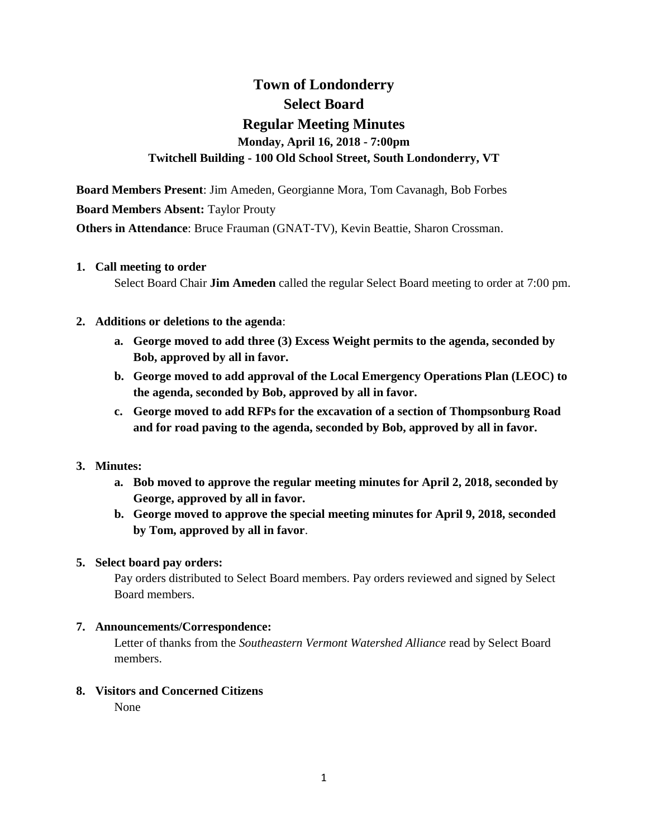# **Town of Londonderry Select Board Regular Meeting Minutes Monday, April 16, 2018 - 7:00pm Twitchell Building - 100 Old School Street, South Londonderry, VT**

**Board Members Present**: Jim Ameden, Georgianne Mora, Tom Cavanagh, Bob Forbes **Board Members Absent:** Taylor Prouty **Others in Attendance**: Bruce Frauman (GNAT-TV), Kevin Beattie, Sharon Crossman.

#### **1. Call meeting to order**

Select Board Chair **Jim Ameden** called the regular Select Board meeting to order at 7:00 pm.

#### **2. Additions or deletions to the agenda**:

- **a. George moved to add three (3) Excess Weight permits to the agenda, seconded by Bob, approved by all in favor.**
- **b. George moved to add approval of the Local Emergency Operations Plan (LEOC) to the agenda, seconded by Bob, approved by all in favor.**
- **c. George moved to add RFPs for the excavation of a section of Thompsonburg Road and for road paving to the agenda, seconded by Bob, approved by all in favor.**

#### **3. Minutes:**

- **a. Bob moved to approve the regular meeting minutes for April 2, 2018, seconded by George, approved by all in favor.**
- **b. George moved to approve the special meeting minutes for April 9, 2018, seconded by Tom, approved by all in favor**.

#### **5. Select board pay orders:**

Pay orders distributed to Select Board members. Pay orders reviewed and signed by Select Board members.

#### **7. Announcements/Correspondence:**

Letter of thanks from the *Southeastern Vermont Watershed Alliance* read by Select Board members.

# **8. Visitors and Concerned Citizens**

None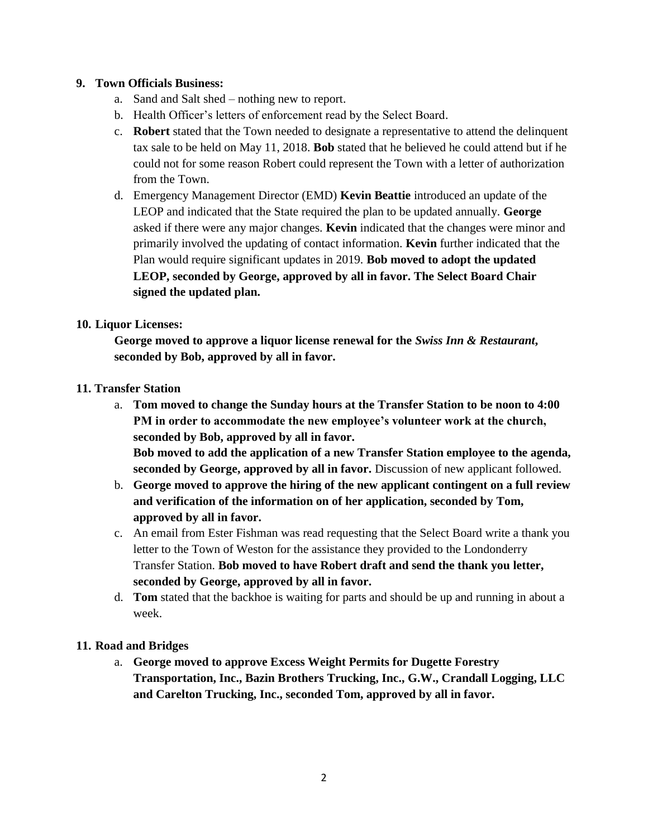#### **9. Town Officials Business:**

- a. Sand and Salt shed nothing new to report.
- b. Health Officer's letters of enforcement read by the Select Board.
- c. **Robert** stated that the Town needed to designate a representative to attend the delinquent tax sale to be held on May 11, 2018. **Bob** stated that he believed he could attend but if he could not for some reason Robert could represent the Town with a letter of authorization from the Town.
- d. Emergency Management Director (EMD) **Kevin Beattie** introduced an update of the LEOP and indicated that the State required the plan to be updated annually. **George** asked if there were any major changes. **Kevin** indicated that the changes were minor and primarily involved the updating of contact information. **Kevin** further indicated that the Plan would require significant updates in 2019. **Bob moved to adopt the updated LEOP, seconded by George, approved by all in favor. The Select Board Chair signed the updated plan.**

## **10. Liquor Licenses:**

**George moved to approve a liquor license renewal for the** *Swiss Inn & Restaurant***, seconded by Bob, approved by all in favor.**

#### **11. Transfer Station**

a. **Tom moved to change the Sunday hours at the Transfer Station to be noon to 4:00 PM in order to accommodate the new employee's volunteer work at the church, seconded by Bob, approved by all in favor. Bob moved to add the application of a new Transfer Station employee to the agenda,** 

**seconded by George, approved by all in favor.** Discussion of new applicant followed. b. **George moved to approve the hiring of the new applicant contingent on a full review** 

- **and verification of the information on of her application, seconded by Tom, approved by all in favor.**
- c. An email from Ester Fishman was read requesting that the Select Board write a thank you letter to the Town of Weston for the assistance they provided to the Londonderry Transfer Station. **Bob moved to have Robert draft and send the thank you letter, seconded by George, approved by all in favor.**
- d. **Tom** stated that the backhoe is waiting for parts and should be up and running in about a week.

#### **11. Road and Bridges**

a. **George moved to approve Excess Weight Permits for Dugette Forestry Transportation, Inc., Bazin Brothers Trucking, Inc., G.W., Crandall Logging, LLC and Carelton Trucking, Inc., seconded Tom, approved by all in favor.**